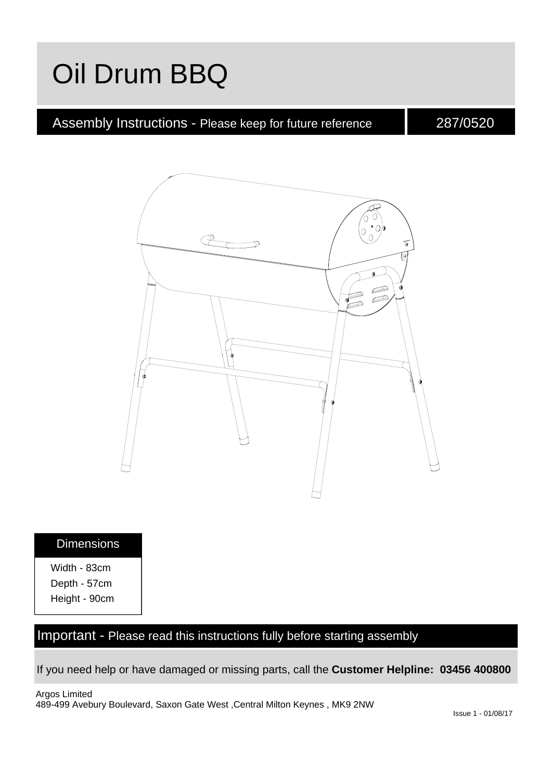# Oil Drum BBQ

### Assembly Instructions - Please keep for future reference

287/0520



#### **Dimensions**

Width - 83cm Depth - 57cm Height - 90cm

### Important - Please read this instructions fully before starting assembly

If you need help or have damaged or missing parts, call the **Customer Helpline: 03456 400800**

Argos Limited 489-499 Avebury Boulevard, Saxon Gate West ,Central Milton Keynes , MK9 2NW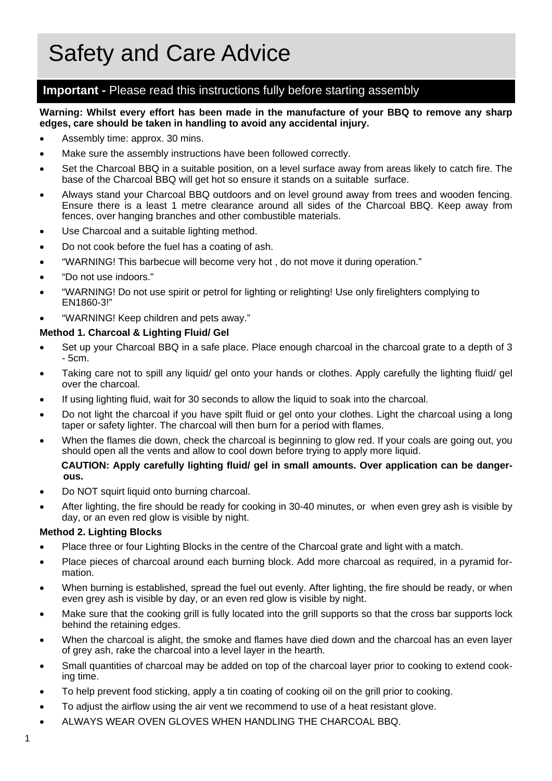#### **Important -** Please read this instructions fully before starting assembly

#### **Warning: Whilst every effort has been made in the manufacture of your BBQ to remove any sharp edges, care should be taken in handling to avoid any accidental injury.**

- Assembly time: approx. 30 mins.
- Make sure the assembly instructions have been followed correctly.
- Set the Charcoal BBQ in a suitable position, on a level surface away from areas likely to catch fire. The base of the Charcoal BBQ will get hot so ensure it stands on a suitable surface.
- Always stand your Charcoal BBQ outdoors and on level ground away from trees and wooden fencing. Ensure there is a least 1 metre clearance around all sides of the Charcoal BBQ. Keep away from fences, over hanging branches and other combustible materials.
- Use Charcoal and a suitable lighting method.
- Do not cook before the fuel has a coating of ash.
- "WARNING! This barbecue will become very hot , do not move it during operation."
- "Do not use indoors."
- "WARNING! Do not use spirit or petrol for lighting or relighting! Use only firelighters complying to EN1860-3!"
- "WARNING! Keep children and pets away."

#### **Method 1. Charcoal & Lighting Fluid/ Gel**

- Set up your Charcoal BBQ in a safe place. Place enough charcoal in the charcoal grate to a depth of 3 - 5cm.
- Taking care not to spill any liquid/ gel onto your hands or clothes. Apply carefully the lighting fluid/ gel over the charcoal.
- If using lighting fluid, wait for 30 seconds to allow the liquid to soak into the charcoal.
- Do not light the charcoal if you have spilt fluid or gel onto your clothes. Light the charcoal using a long taper or safety lighter. The charcoal will then burn for a period with flames.
- When the flames die down, check the charcoal is beginning to glow red. If your coals are going out, you should open all the vents and allow to cool down before trying to apply more liquid.

#### **CAUTION: Apply carefully lighting fluid/ gel in small amounts. Over application can be dangerous.**

- Do NOT squirt liquid onto burning charcoal.
- After lighting, the fire should be ready for cooking in 30-40 minutes, or when even grey ash is visible by day, or an even red glow is visible by night.

#### **Method 2. Lighting Blocks**

- Place three or four Lighting Blocks in the centre of the Charcoal grate and light with a match.
- Place pieces of charcoal around each burning block. Add more charcoal as required, in a pyramid formation.
- When burning is established, spread the fuel out evenly. After lighting, the fire should be ready, or when even grey ash is visible by day, or an even red glow is visible by night.
- Make sure that the cooking grill is fully located into the grill supports so that the cross bar supports lock behind the retaining edges.
- When the charcoal is alight, the smoke and flames have died down and the charcoal has an even layer of grey ash, rake the charcoal into a level layer in the hearth.
- Small quantities of charcoal may be added on top of the charcoal layer prior to cooking to extend cooking time.
- To help prevent food sticking, apply a tin coating of cooking oil on the grill prior to cooking.
- To adjust the airflow using the air vent we recommend to use of a heat resistant glove.
- ALWAYS WEAR OVEN GLOVES WHEN HANDLING THE CHARCOAL BBQ.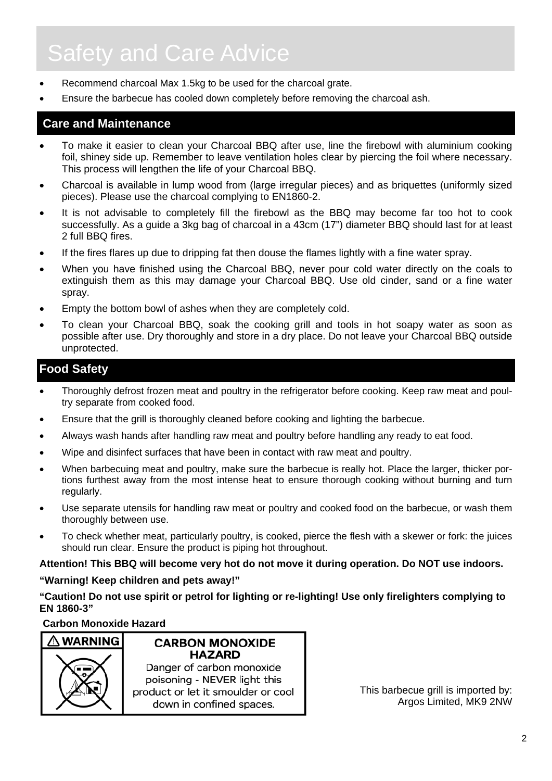# Safety and Care Advice

- Recommend charcoal Max 1.5kg to be used for the charcoal grate.
- Ensure the barbecue has cooled down completely before removing the charcoal ash.

### **Care and Maintenance**

- To make it easier to clean your Charcoal BBQ after use, line the firebowl with aluminium cooking foil, shiney side up. Remember to leave ventilation holes clear by piercing the foil where necessary. This process will lengthen the life of your Charcoal BBQ.
- Charcoal is available in lump wood from (large irregular pieces) and as briquettes (uniformly sized pieces). Please use the charcoal complying to EN1860-2.
- It is not advisable to completely fill the firebowl as the BBQ may become far too hot to cook successfully. As a guide a 3kg bag of charcoal in a 43cm (17") diameter BBQ should last for at least 2 full BBQ fires.
- If the fires flares up due to dripping fat then douse the flames lightly with a fine water spray.
- When you have finished using the Charcoal BBQ, never pour cold water directly on the coals to extinguish them as this may damage your Charcoal BBQ. Use old cinder, sand or a fine water spray.
- Empty the bottom bowl of ashes when they are completely cold.
- To clean your Charcoal BBQ, soak the cooking grill and tools in hot soapy water as soon as possible after use. Dry thoroughly and store in a dry place. Do not leave your Charcoal BBQ outside unprotected.

#### **Food Safety**

- Thoroughly defrost frozen meat and poultry in the refrigerator before cooking. Keep raw meat and poultry separate from cooked food.
- Ensure that the grill is thoroughly cleaned before cooking and lighting the barbecue.
- Always wash hands after handling raw meat and poultry before handling any ready to eat food.
- Wipe and disinfect surfaces that have been in contact with raw meat and poultry.
- When barbecuing meat and poultry, make sure the barbecue is really hot. Place the larger, thicker portions furthest away from the most intense heat to ensure thorough cooking without burning and turn regularly.
- Use separate utensils for handling raw meat or poultry and cooked food on the barbecue, or wash them thoroughly between use.
- To check whether meat, particularly poultry, is cooked, pierce the flesh with a skewer or fork: the juices should run clear. Ensure the product is piping hot throughout.

**Attention! This BBQ will become very hot do not move it during operation. Do NOT use indoors.** 

#### **"Warning! Keep children and pets away!"**

**"Caution! Do not use spirit or petrol for lighting or re-lighting! Use only firelighters complying to EN 1860-3"** 

#### **Carbon Monoxide Hazard**



**CARBON MONOXIDE HAZARD** Danger of carbon monoxide poisoning - NEVER light this product or let it smoulder or cool down in confined spaces.

This barbecue grill is imported by: Argos Limited, MK9 2NW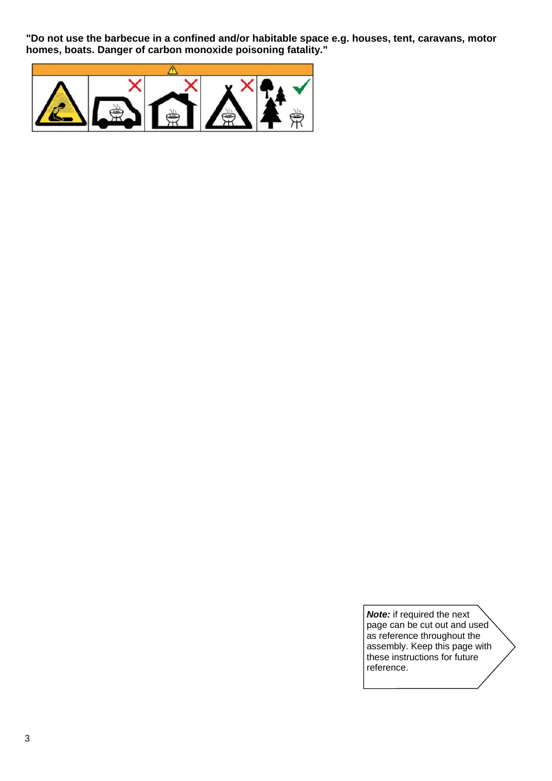**"Do not use the barbecue in a confined and/or habitable space e.g. houses, tent, caravans, motor homes, boats. Danger of carbon monoxide poisoning fatality."** 



*Note:* if required the next page can be cut out and used as reference throughout the assembly. Keep this page with these instructions for future reference.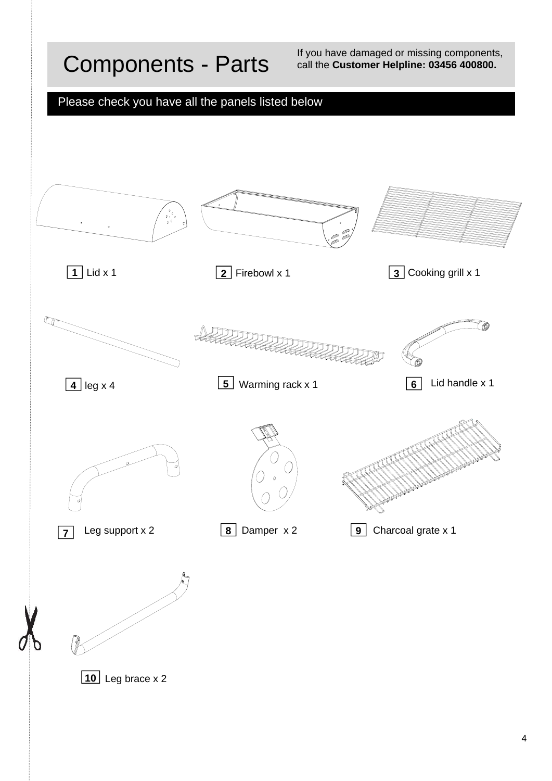## Components - Parts

If you have damaged or missing components, call the **Customer Helpline: 03456 400800.**

### Please check you have all the panels listed below

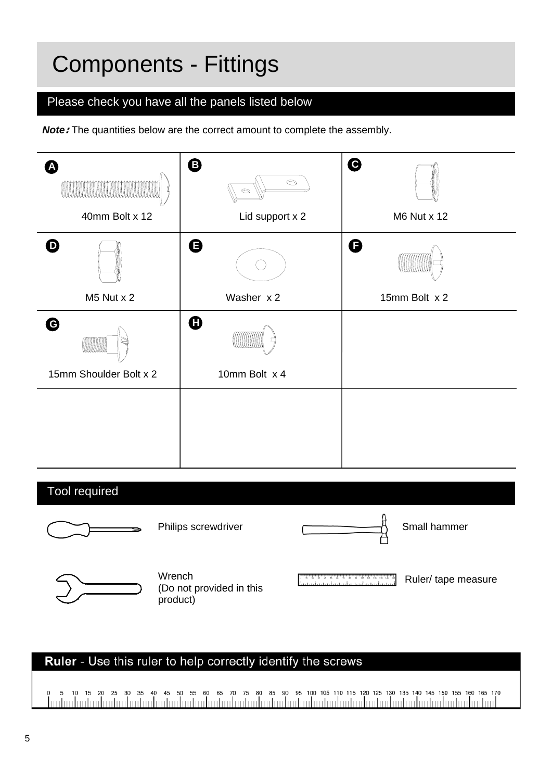## Components - Fittings

### Please check you have all the panels listed below

**Note:** The quantities below are the correct amount to complete the assembly.



### Ruler - Use this ruler to help correctly identify the screws

15 20 25 30 35 40 45 50 55 60 65 70 75 80 85 90 95 100 105 110 115 120 125 130 135 140 145 150 155 160 165 170 mtaalantaalantaalantaalantaalantaalantaalantaalantaalantaalantaalantaalantaalantaalantaalanta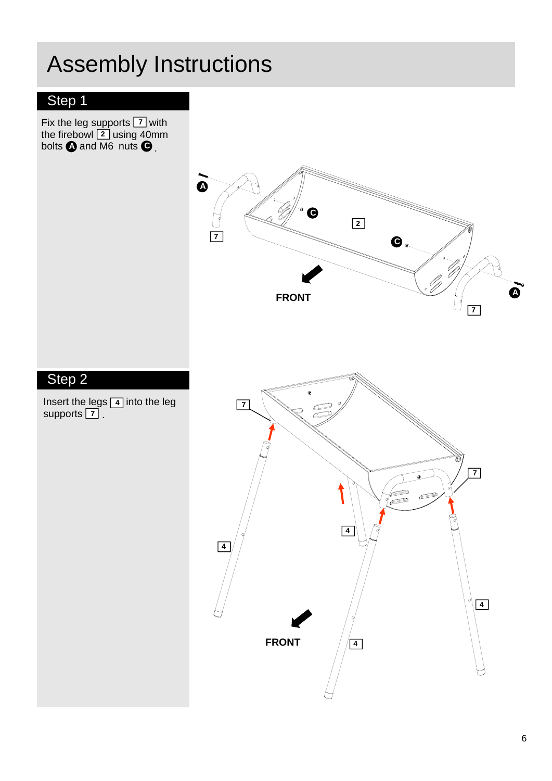## Step 1

Fix the leg supports  $\boxed{7}$  with the firebowl  $\boxed{2}$  using 40mm bolts  $\triangle$  and M6 nuts **7 A** and M6 nuts **C 2** .

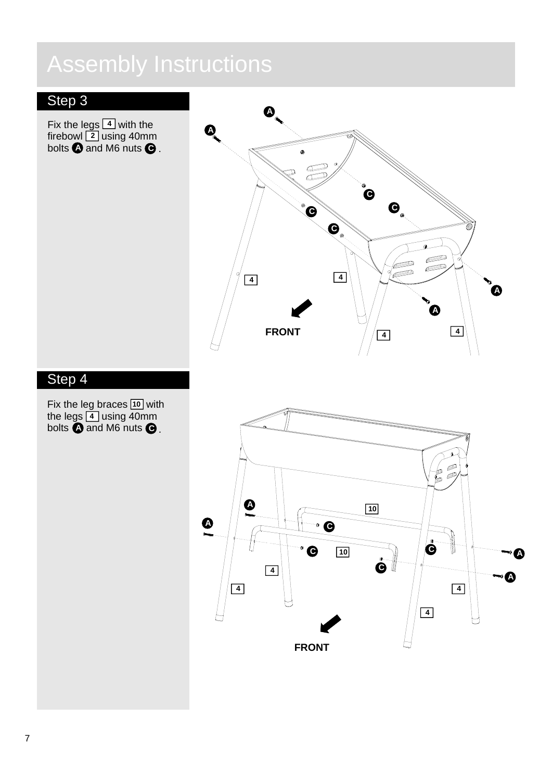## Step 3

Fix the legs  $\boxed{4}$  with the firebowl  $\lfloor 2 \rfloor$  using 40mm **bolts**  $\bullet$  **and M6 nuts**  $\bullet$  . **4 2**



### Step 4

Fix the leg braces  $10$  with the legs  $\boxed{4}$  using 40mm bolts  $\bigoplus$  and M6 nuts **10 A** and M6 nuts  $\bullet$ .  **4**

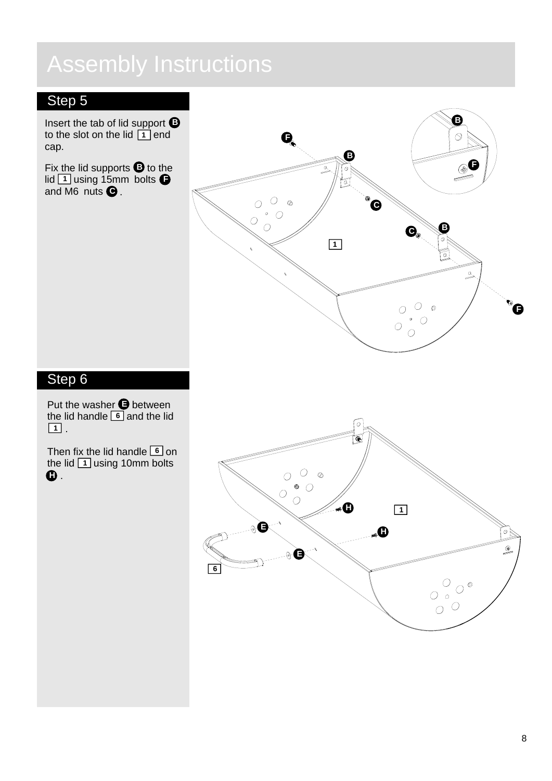## Step 5

Insert the tab of lid support **B** to the slot on the lid  $\boxed{1}$  end cap.

Fix the lid supports  $\bullet$  to the  $\frac{1}{1}$  using 15mm bolts  $\blacksquare$ and M6 nuts **C** .



## Step 6

Put the washer  $\bigoplus$  between the lid handle  $\boxed{6}$  and the lid **1** .

Then fix the lid handle  $\boxed{6}$  on the lid  $\boxed{1}$  using 10mm bolts **H** .

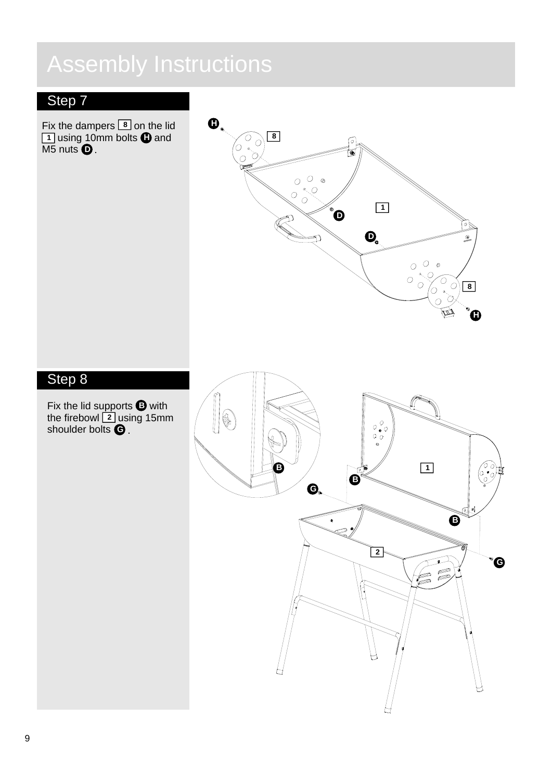## Step 7

Fix the dampers  $\boxed{8}$  on the lid using 10mm bolts  $\bigoplus$  and M5 nuts **8 H D** . **1**



## Step 8

Fix the lid supports  $\bullet$  with the firebowl  $\boxed{2}$  using 15mm shoulder bolts **G** . **2 B**

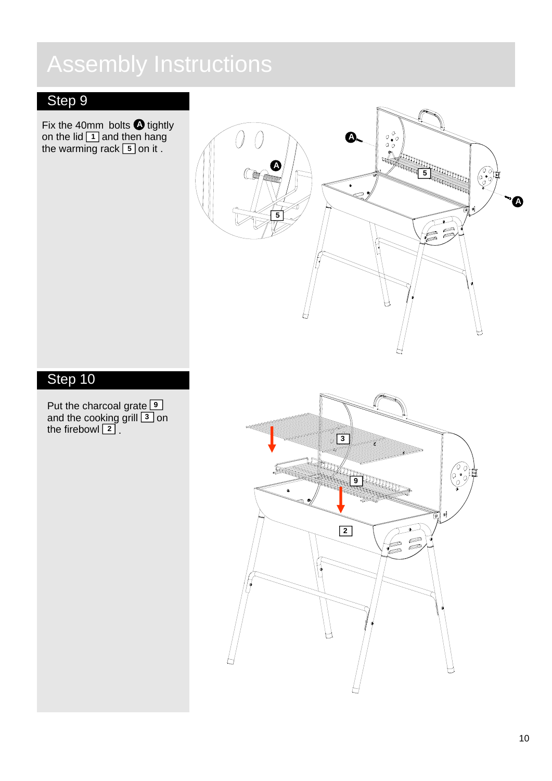## Step 9

Fix the 40mm bolts  $\bullet$  tightly on the lid  $\boxed{1}$  and then hang the warming rack [5] on it. **A 1**



## Step 10

Put the charcoal grate and the cooking grill  $\boxed{3}$  on the firebowl  **9 3** . **2**